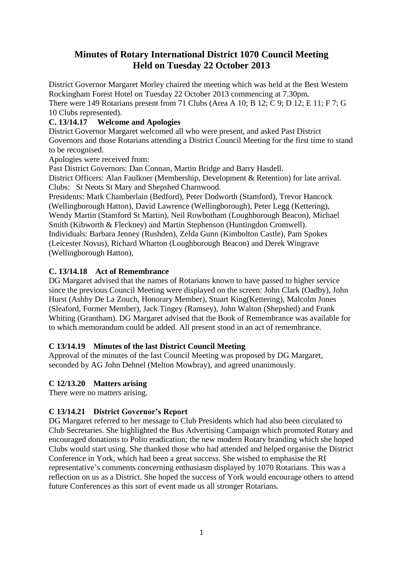# **Minutes of Rotary International District 1070 Council Meeting Held on Tuesday 22 October 2013**

District Governor Margaret Morley chaired the meeting which was held at the Best Western Rockingham Forest Hotel on Tuesday 22 October 2013 commencing at 7.30pm. There were 149 Rotarians present from 71 Clubs (Area A 10; B 12; C 9; D 12; E 11; F 7; G 10 Clubs represented).

# **C. 13/14.17 Welcome and Apologies**

District Governor Margaret welcomed all who were present, and asked Past District Governors and those Rotarians attending a District Council Meeting for the first time to stand to be recognised.

Apologies were received from:

Past District Governors: Dan Connan, Martin Bridge and Barry Hasdell.

District Officers: Alan Faulkner (Membership, Development & Retention) for late arrival. Clubs: St Neots St Mary and Shepshed Charnwood.

Presidents: Mark Chamberlain (Bedford), Peter Dodworth (Stamford), Trevor Hancock (Wellingborough Hatton), David Lawrence (Wellingborough), Peter Legg (Kettering), Wendy Martin (Stamford St Martin), Neil Rowbotham (Loughborough Beacon), Michael Smith (Kibworth & Fleckney) and Martin Stephenson (Huntingdon Cromwell). Individuals: Barbara Jenney (Rushden), Zelda Gunn (Kimbolton Castle), Pam Spokes (Leicester Novus), Richard Wharton (Loughborough Beacon) and Derek Wingrave (Wellingborough Hatton),

# **C. 13/14.18 Act of Remembrance**

DG Margaret advised that the names of Rotarians known to have passed to higher service since the previous Council Meeting were displayed on the screen: John Clark (Oadby), John Hurst (Ashby De La Zouch, Honorary Member), Stuart King(Kettering), Malcolm Jones (Sleaford, Former Member), Jack Tingey (Ramsey), John Walton (Shepshed) and Frank Whiting (Grantham). DG Margaret advised that the Book of Remembrance was available for to which memorandum could be added. All present stood in an act of remembrance.

# **C 13/14.19 Minutes of the last District Council Meeting**

Approval of the minutes of the last Council Meeting was proposed by DG Margaret, seconded by AG John Dehnel (Melton Mowbray), and agreed unanimously.

# **C 12/13.20 Matters arising**

There were no matters arising.

# **C 13/14.21 District Governor's Report**

DG Margaret referred to her message to Club Presidents which had also been circulated to Club Secretaries. She highlighted the Bus Advertising Campaign which promoted Rotary and encouraged donations to Polio eradication; the new modern Rotary branding which she hoped Clubs would start using. She thanked those who had attended and helped organise the District Conference in York, which had been a great success. She wished to emphasise the RI representative's comments concerning enthusiasm displayed by 1070 Rotarians. This was a reflection on us as a District. She hoped the success of York would encourage others to attend future Conferences as this sort of event made us all stronger Rotarians.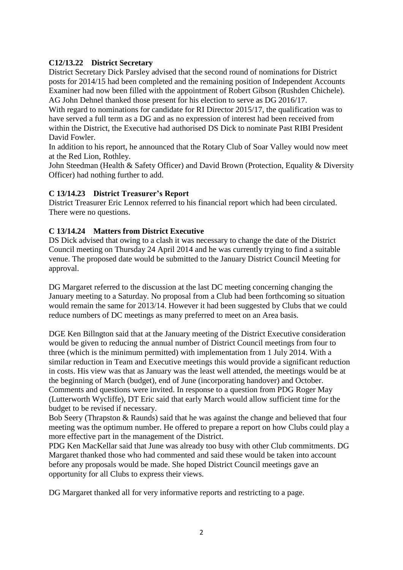### **C12/13.22 District Secretary**

District Secretary Dick Parsley advised that the second round of nominations for District posts for 2014/15 had been completed and the remaining position of Independent Accounts Examiner had now been filled with the appointment of Robert Gibson (Rushden Chichele). AG John Dehnel thanked those present for his election to serve as DG 2016/17.

With regard to nominations for candidate for RI Director 2015/17, the qualification was to have served a full term as a DG and as no expression of interest had been received from within the District, the Executive had authorised DS Dick to nominate Past RIBI President David Fowler.

In addition to his report, he announced that the Rotary Club of Soar Valley would now meet at the Red Lion, Rothley.

John Steedman (Health & Safety Officer) and David Brown (Protection, Equality & Diversity Officer) had nothing further to add.

### **C 13/14.23 District Treasurer's Report**

District Treasurer Eric Lennox referred to his financial report which had been circulated. There were no questions.

### **C 13/14.24 Matters from District Executive**

DS Dick advised that owing to a clash it was necessary to change the date of the District Council meeting on Thursday 24 April 2014 and he was currently trying to find a suitable venue. The proposed date would be submitted to the January District Council Meeting for approval.

DG Margaret referred to the discussion at the last DC meeting concerning changing the January meeting to a Saturday. No proposal from a Club had been forthcoming so situation would remain the same for 2013/14. However it had been suggested by Clubs that we could reduce numbers of DC meetings as many preferred to meet on an Area basis.

DGE Ken Billngton said that at the January meeting of the District Executive consideration would be given to reducing the annual number of District Council meetings from four to three (which is the minimum permitted) with implementation from 1 July 2014. With a similar reduction in Team and Executive meetings this would provide a significant reduction in costs. His view was that as January was the least well attended, the meetings would be at the beginning of March (budget), end of June (incorporating handover) and October. Comments and questions were invited. In response to a question from PDG Roger May (Lutterworth Wycliffe), DT Eric said that early March would allow sufficient time for the budget to be revised if necessary.

Bob Seery (Thrapston & Raunds) said that he was against the change and believed that four meeting was the optimum number. He offered to prepare a report on how Clubs could play a more effective part in the management of the District.

PDG Ken MacKellar said that June was already too busy with other Club commitments. DG Margaret thanked those who had commented and said these would be taken into account before any proposals would be made. She hoped District Council meetings gave an opportunity for all Clubs to express their views.

DG Margaret thanked all for very informative reports and restricting to a page.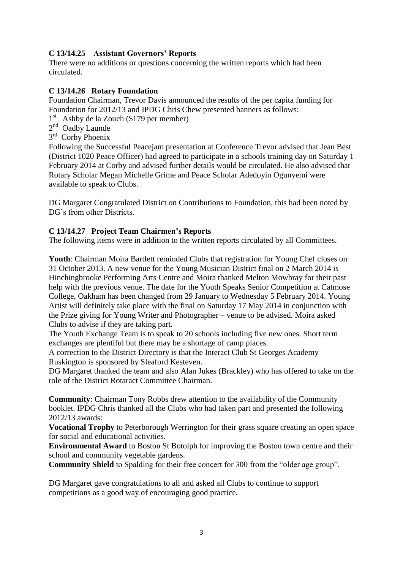# **C 13/14.25 Assistant Governors' Reports**

There were no additions or questions concerning the written reports which had been circulated.

#### **C 13/14.26 Rotary Foundation**

Foundation Chairman, Trevor Davis announced the results of the per capita funding for Foundation for 2012/13 and IPDG Chris Chew presented banners as follows:

1<sup>st</sup> Ashby de la Zouch (\$179 per member)

- 2<sup>nd</sup> Oadby Launde
- 3<sup>rd</sup> Corby Phoenix

Following the Successful Peacejam presentation at Conference Trevor advised that Jean Best (District 1020 Peace Officer) had agreed to participate in a schools training day on Saturday 1 February 2014 at Corby and advised further details would be circulated. He also advised that Rotary Scholar Megan Michelle Grime and Peace Scholar Adedoyin Ogunyemi were available to speak to Clubs.

DG Margaret Congratulated District on Contributions to Foundation, this had been noted by DG's from other Districts.

#### **C 13/14.27 Project Team Chairmen's Reports**

The following items were in addition to the written reports circulated by all Committees.

**Youth**: Chairman Moira Bartlett reminded Clubs that registration for Young Chef closes on 31 October 2013. A new venue for the Young Musician District final on 2 March 2014 is Hinchingbrooke Performing Arts Centre and Moira thanked Melton Mowbray for their past help with the previous venue. The date for the Youth Speaks Senior Competition at Catmose College, Oakham has been changed from 29 January to Wednesday 5 February 2014. Young Artist will definitely take place with the final on Saturday 17 May 2014 in conjunction with the Prize giving for Young Writer and Photographer – venue to be advised. Moira asked Clubs to advise if they are taking part.

The Youth Exchange Team is to speak to 20 schools including five new ones. Short term exchanges are plentiful but there may be a shortage of camp places.

A correction to the District Directory is that the Interact Club St Georges Academy Ruskington is sponsored by Sleaford Kesteven.

DG Margaret thanked the team and also Alan Jukes (Brackley) who has offered to take on the role of the District Rotaract Committee Chairman.

**Community**: Chairman Tony Robbs drew attention to the availability of the Community booklet. IPDG Chris thanked all the Clubs who had taken part and presented the following 2012/13 awards:

**Vocational Trophy** to Peterborough Werrington for their grass square creating an open space for social and educational activities.

**Environmental Award** to Boston St Botolph for improving the Boston town centre and their school and community vegetable gardens.

**Community Shield** to Spalding for their free concert for 300 from the "older age group".

DG Margaret gave congratulations to all and asked all Clubs to continue to support competitions as a good way of encouraging good practice.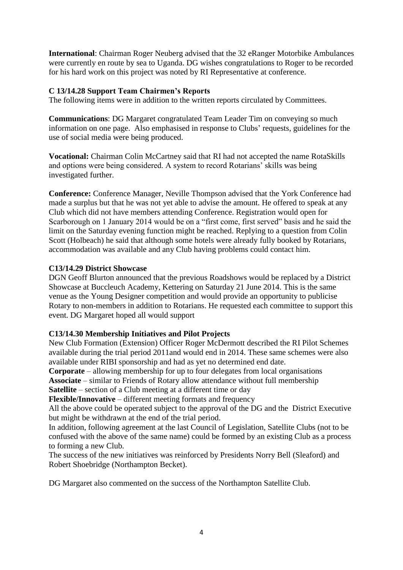**International**: Chairman Roger Neuberg advised that the 32 eRanger Motorbike Ambulances were currently en route by sea to Uganda. DG wishes congratulations to Roger to be recorded for his hard work on this project was noted by RI Representative at conference.

### **C 13/14.28 Support Team Chairmen's Reports**

The following items were in addition to the written reports circulated by Committees.

**Communications**: DG Margaret congratulated Team Leader Tim on conveying so much information on one page. Also emphasised in response to Clubs' requests, guidelines for the use of social media were being produced.

**Vocational:** Chairman Colin McCartney said that RI had not accepted the name RotaSkills and options were being considered. A system to record Rotarians' skills was being investigated further.

**Conference:** Conference Manager, Neville Thompson advised that the York Conference had made a surplus but that he was not yet able to advise the amount. He offered to speak at any Club which did not have members attending Conference. Registration would open for Scarborough on 1 January 2014 would be on a "first come, first served" basis and he said the limit on the Saturday evening function might be reached. Replying to a question from Colin Scott (Holbeach) he said that although some hotels were already fully booked by Rotarians, accommodation was available and any Club having problems could contact him.

#### **C13/14.29 District Showcase**

DGN Geoff Blurton announced that the previous Roadshows would be replaced by a District Showcase at Buccleuch Academy, Kettering on Saturday 21 June 2014. This is the same venue as the Young Designer competition and would provide an opportunity to publicise Rotary to non-members in addition to Rotarians. He requested each committee to support this event. DG Margaret hoped all would support

#### **C13/14.30 Membership Initiatives and Pilot Projects**

New Club Formation (Extension) Officer Roger McDermott described the RI Pilot Schemes available during the trial period 2011and would end in 2014. These same schemes were also available under RIBI sponsorship and had as yet no determined end date.

**Corporate** – allowing membership for up to four delegates from local organisations **Associate** – similar to Friends of Rotary allow attendance without full membership **Satellite** – section of a Club meeting at a different time or day

**Flexible/Innovative** – different meeting formats and frequency

All the above could be operated subject to the approval of the DG and the District Executive but might be withdrawn at the end of the trial period.

In addition, following agreement at the last Council of Legislation, Satellite Clubs (not to be confused with the above of the same name) could be formed by an existing Club as a process to forming a new Club.

The success of the new initiatives was reinforced by Presidents Norry Bell (Sleaford) and Robert Shoebridge (Northampton Becket).

DG Margaret also commented on the success of the Northampton Satellite Club.